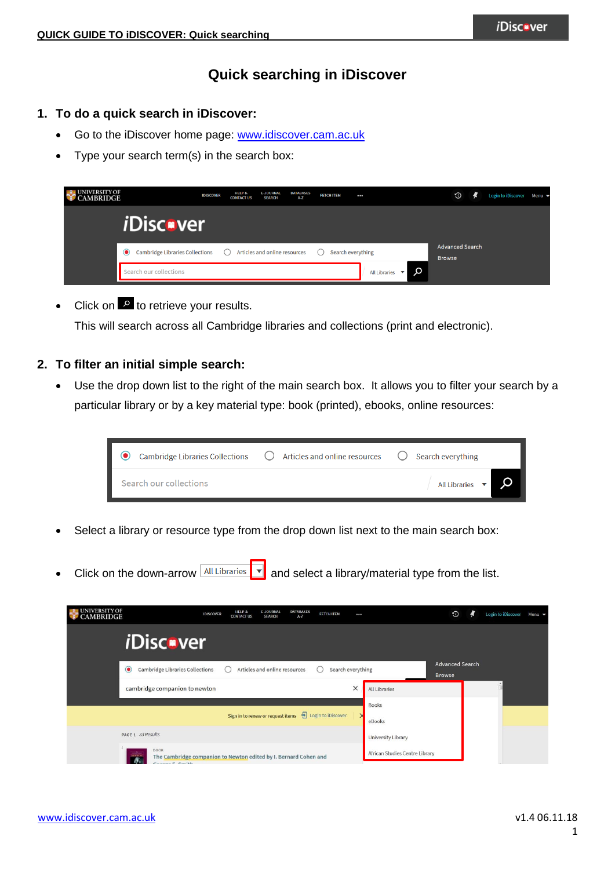# **Quick searching in iDiscover**

# **1. To do a quick search in iDiscover:**

- Go to the iDiscover home page: [www.idiscover.cam.ac.uk](http://www.idiscover.cam.ac.uk/)
- Type your search term(s) in the search box:

| <b>NIVERSITY OF</b><br><b>MBRIDGE</b> | <b>IDISCOVER</b>                              | HELP &<br><b>CONTACT US</b> | <b>E-JOURNAL</b><br><b>DATABASES</b><br><b>SEARCH</b><br>A-Z | <b>FETCH ITEM</b> | $\cdots$             | $\odot$                                 | Login to iDiscover Menu ▼ |  |
|---------------------------------------|-----------------------------------------------|-----------------------------|--------------------------------------------------------------|-------------------|----------------------|-----------------------------------------|---------------------------|--|
|                                       | <i><b>iDiscover</b></i>                       |                             |                                                              |                   |                      |                                         |                           |  |
|                                       | <b>Cambridge Libraries Collections</b><br>( ) |                             | Articles and online resources                                | Search everything |                      | <b>Advanced Search</b><br><b>Browse</b> |                           |  |
| Search our collections                |                                               |                             |                                                              |                   | <b>All Libraries</b> | Q                                       |                           |  |

Click on  $\mathbb{R}$  to retrieve your results.

This will search across all Cambridge libraries and collections (print and electronic).

### **2. To filter an initial simple search:**

 Use the drop down list to the right of the main search box. It allows you to filter your search by a particular library or by a key material type: book (printed), ebooks, online resources:



- Select a library or resource type from the drop down list next to the main search box:
- Click on the down-arrow  $\frac{\text{All Libraries}}{\cdot}$  and select a library/material type from the list.

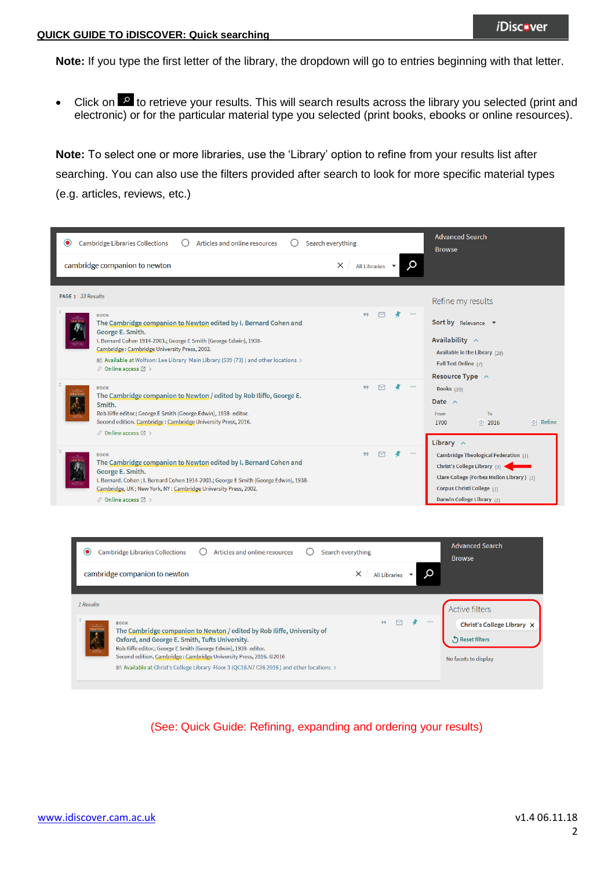**Note:** If you type the first letter of the library, the dropdown will go to entries beginning with that letter.

Click on  $\mathbb{R}$  to retrieve your results. This will search results across the library you selected (print and electronic) or for the particular material type you selected (print books, ebooks or online resources).

**Note:** To select one or more libraries, use the 'Library' option to refine from your results list after searching. You can also use the filters provided after search to look for more specific material types (e.g. articles, reviews, etc.)

| <b>Cambridge Libraries Collections</b><br>Search everything<br>$\bullet$<br>Articles and online resources<br>O                                                                                                                                                                                                                                                                                                                  | <b>Advanced Search</b><br><b>Browse</b>                                                                                                                                       |
|---------------------------------------------------------------------------------------------------------------------------------------------------------------------------------------------------------------------------------------------------------------------------------------------------------------------------------------------------------------------------------------------------------------------------------|-------------------------------------------------------------------------------------------------------------------------------------------------------------------------------|
| Q<br>cambridge companion to newton<br>$\times$<br>All Libraries $\blacktriangledown$                                                                                                                                                                                                                                                                                                                                            |                                                                                                                                                                               |
| PAGE 1 33 Results<br>99<br><b>BOOK</b><br>The Cambridge companion to Newton edited by I. Bernard Cohen and<br>George E. Smith.<br>I. Bernard Cohen 1914-2003.; George E Smith (George Edwin), 1938-<br>Cambridge: Cambridge University Press, 2002.<br>Mull Available at Wolfson: Lee Library Main Library (509 (73)) and other locations ><br>$\mathcal O$ Online access $\boxtimes$ >                                         | Refine my results<br><b>Sort by</b> Relevance $\blacktriangledown$<br>Availability $\wedge$<br>Available in the Library (28)<br>Full Text Online (7)                          |
| 99<br><b>BOOK</b><br>The Cambridge companion to Newton / edited by Rob Iliffe, George E.<br>Smith.<br>Rob Iliffe editor.; George E Smith (George Edwin), 1938-editor.<br>Second edition. Cambridge: Cambridge University Press, 2016.<br>$\mathscr O$ Online access $\boxtimes$ >                                                                                                                                               | Resource Type $\land$<br><b>Books</b> (33)<br>Date $\wedge$<br>To<br>From<br>$\Rightarrow$ Refine<br>1700<br>$\div$ 2016<br>Library $\wedge$                                  |
| 可可<br><b>BOOK</b><br>The Cambridge companion to Newton edited by I. Bernard Cohen and<br>George E. Smith.<br>I. Bernard. Cohen; I. Bernard Cohen 1914-2003.; George E Smith (George Edwin), 1938-<br>Cambridge, UK; New York, NY: Cambridge University Press, 2002.<br>$\mathcal O$ Online access $\boxtimes$ >                                                                                                                 | Cambridge Theological Federation (1)<br>Christ's College Library (1)<br>Clare College (Forbes Mellon Library) (1)<br>Corpus Christi College (1)<br>Darwin College Library (1) |
| <b>Cambridge Libraries Collections</b><br>Articles and online resources<br>Search everything<br>$\bullet$<br>cambridge companion to newton<br>×<br>All Libraries ▼                                                                                                                                                                                                                                                              | <b>Advanced Search</b><br><b>Browse</b><br>O                                                                                                                                  |
| 1 Results<br>$\mathbf{1}$<br>M<br><b>BOOK</b><br>The Cambridge companion to Newton / edited by Rob Iliffe, University of<br>Oxford, and George E. Smith, Tufts University.<br>Rob Iliffe editor.; George E Smith (George Edwin), 1938-editor.<br>Second edition. Cambridge: Cambridge University Press, 2016. @2016<br>$\blacksquare$ Available at Christ's College Library Floor 3 (QC16.N7 C36 2016 ) and other locations $>$ | <b>Active filters</b><br>Christ's College Library X<br>Reset filters<br>No facets to display                                                                                  |

(See: Quick Guide: Refining, expanding and ordering your results)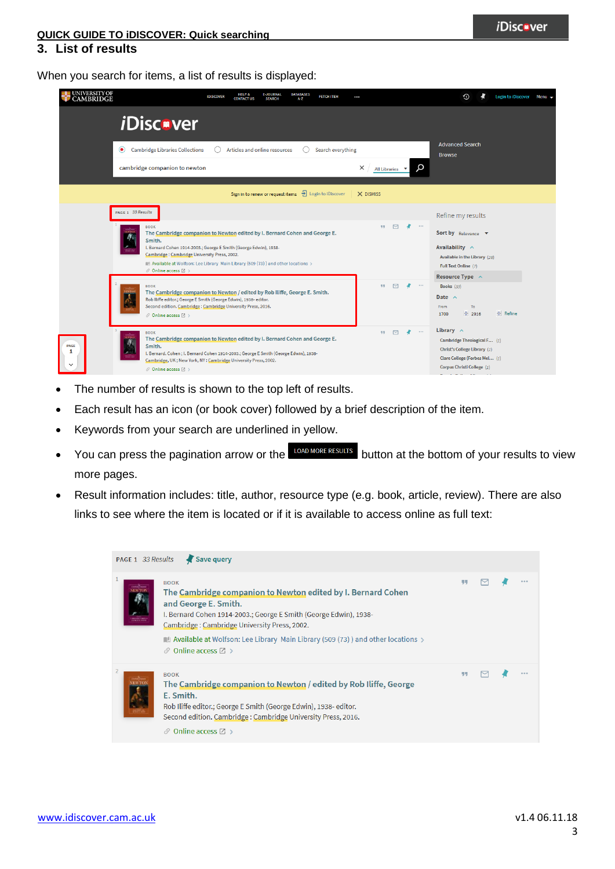# **QUICK GUIDE TO iDISCOVER: Quick searching**

### **3. List of results**

When you search for items, a list of results is displayed:

| UNIVERSITY OF<br>CAMBRIDGE |                                                                                                                                                                                                                                                                                                                                                                              | <b>HELP &amp;</b><br><b>IDISCOVER</b><br><b>CONTACT US</b> | <b>E-JOURNAL</b><br><b>SEARCH</b>                                         | <b>DATABASES</b><br>A-Z | <b>FETCH ITEM</b> | $\cdots$  |                        |                       | Login to iDiscover<br>€<br>Menu $\rightarrow$                                                                                                                                       |
|----------------------------|------------------------------------------------------------------------------------------------------------------------------------------------------------------------------------------------------------------------------------------------------------------------------------------------------------------------------------------------------------------------------|------------------------------------------------------------|---------------------------------------------------------------------------|-------------------------|-------------------|-----------|------------------------|-----------------------|-------------------------------------------------------------------------------------------------------------------------------------------------------------------------------------|
|                            | <i>i</i> Discover                                                                                                                                                                                                                                                                                                                                                            |                                                            |                                                                           |                         |                   |           |                        |                       |                                                                                                                                                                                     |
|                            | <b>Cambridge Libraries Collections</b><br>$\circledbullet$                                                                                                                                                                                                                                                                                                                   |                                                            | Articles and online resources                                             |                         | Search everything |           |                        |                       | <b>Advanced Search</b><br><b>Browse</b>                                                                                                                                             |
|                            | cambridge companion to newton                                                                                                                                                                                                                                                                                                                                                |                                                            |                                                                           |                         |                   | ×         | All Libraries <b>v</b> | α                     |                                                                                                                                                                                     |
|                            |                                                                                                                                                                                                                                                                                                                                                                              |                                                            | Sign in to renew or request items $\frac{1}{\sqrt{2}}$ Login to iDiscover |                         |                   | X DISMISS |                        |                       |                                                                                                                                                                                     |
|                            | PAGE 1 33 Results<br><b>BOOK</b><br>The Cambridge companion to Newton edited by I. Bernard Cohen and George E.<br>Smith.<br>I. Bernard Cohen 1914-2003.; George E Smith (George Edwin), 1938-<br>Cambridge: Cambridge University Press, 2002.<br>Mailable at Wolfson: Lee Library Main Library (509 (73) ) and other locations ><br>$\mathcal O$ Online access $\boxtimes$ > |                                                            |                                                                           |                         |                   | 99        | $\Box$                 | ł<br>$\sim$ 0.0 $\pm$ | Refine my results<br>Sort by Relevance v<br>Availability $\wedge$<br>Available in the Library (28)<br>Full Text Online (7)                                                          |
|                            | <b>BOOK</b><br>The Cambridge companion to Newton / edited by Rob Iliffe, George E. Smith.<br>Rob Iliffe editor.; George E Smith (George Edwin), 1938-editor.<br>Second edition. Cambridge: Cambridge University Press, 2016.<br>$\mathcal O$ Online access $\boxtimes$ >                                                                                                     |                                                            |                                                                           |                         |                   | 99        | $\triangleright$       | $\alpha$ or $\alpha$  | Resource Type $\sim$<br>Books (33)<br>Date $\wedge$<br>From<br>To<br>$\div$ 2016<br>$\div$ Refine<br>1700                                                                           |
| PAGE                       | <b>BOOK</b><br>The Cambridge companion to Newton edited by I. Bernard Cohen and George E.<br>Smith.<br>I. Bernard. Cohen; I. Bernard Cohen 1914-2003.; George E Smith (George Edwin), 1938-<br>Cambridge, UK; New York, NY: Cambridge University Press, 2002.<br>$\mathcal O$ Online access $\boxtimes$ >                                                                    |                                                            |                                                                           |                         |                   | 99        | $\triangleright$       | $\cdots$              | Library $\wedge$<br>Cambridge Theological F (1)<br>Christ's College Library (1)<br>Clare College (Forbes Mel (1)<br>Corpus Christi College (1)<br><b>Contract</b><br><b>Service</b> |

- The number of results is shown to the top left of results.
- Each result has an icon (or book cover) followed by a brief description of the item.
- Keywords from your search are underlined in yellow.
- You can press the pagination arrow or the LOAD MORE RESULTS button at the bottom of your results to view more pages.
- Result information includes: title, author, resource type (e.g. book, article, review). There are also links to see where the item is located or if it is available to access online as full text:

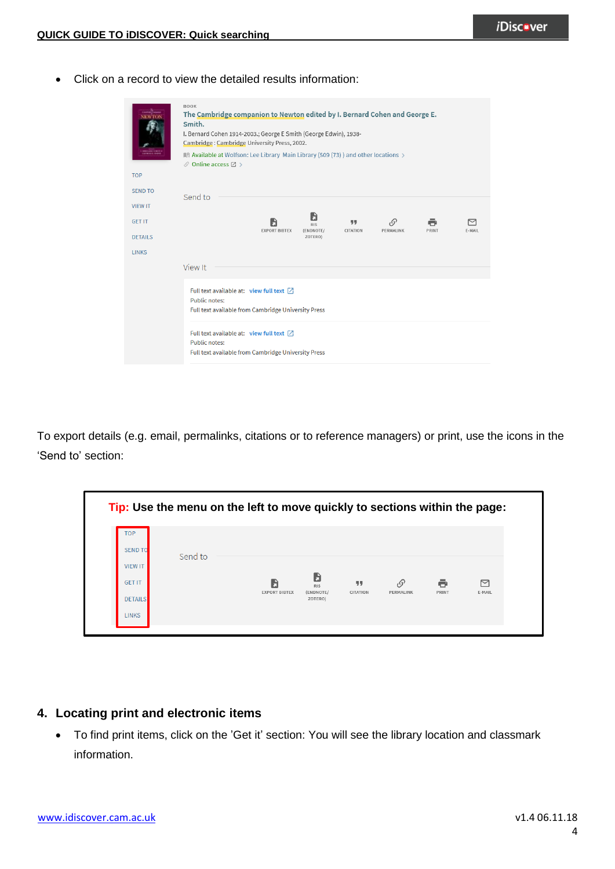Click on a record to view the detailed results information:

| <b>TOP</b><br><b>SEND TO</b> | <b>BOOK</b><br>The Cambridge companion to Newton edited by I. Bernard Cohen and George E.<br>Smith.<br>I. Bernard Cohen 1914-2003.; George E Smith (George Edwin), 1938-<br>Cambridge: Cambridge University Press, 2002.<br>Mull Available at Wolfson: Lee Library Main Library (509 (73)) and other locations ><br>$\mathcal O$ Online access $\boxtimes$ > |
|------------------------------|--------------------------------------------------------------------------------------------------------------------------------------------------------------------------------------------------------------------------------------------------------------------------------------------------------------------------------------------------------------|
| <b>VIEW IT</b>               | Send to                                                                                                                                                                                                                                                                                                                                                      |
| <b>GET IT</b>                | ĥ<br>, G<br>99<br><b>RIS</b><br><b>EXPORT BIBTEX</b><br>(ENDNOTE/<br>CITATION<br>PERMALINK<br>PRINT<br>E-MAIL                                                                                                                                                                                                                                                |
| <b>DETAILS</b>               | ZOTERO)                                                                                                                                                                                                                                                                                                                                                      |
| <b>LINKS</b>                 |                                                                                                                                                                                                                                                                                                                                                              |
|                              | View It                                                                                                                                                                                                                                                                                                                                                      |
|                              | Full text available at: view full text [2]<br><b>Public notes:</b><br>Full text available from Cambridge University Press                                                                                                                                                                                                                                    |
|                              | Full text available at: view full text $[$<br><b>Public notes:</b><br>Full text available from Cambridge University Press                                                                                                                                                                                                                                    |

To export details (e.g. email, permalinks, citations or to reference managers) or print, use the icons in the 'Send to' section:

|                                                                                                   | Tip: Use the menu on the left to move quickly to sections within the page: |                      |                                    |                |                 |            |             |
|---------------------------------------------------------------------------------------------------|----------------------------------------------------------------------------|----------------------|------------------------------------|----------------|-----------------|------------|-------------|
| <b>TOP</b><br><b>SEND TO</b><br><b>VIEW IT</b><br><b>GET IT</b><br><b>DETAILS</b><br><b>LINKS</b> | Send to                                                                    | <b>EXPORT BIBTEX</b> | <b>RIS</b><br>(ENDNOTE/<br>ZOTERO) | 77<br>CITATION | G,<br>PERMALINK | ē<br>PRINT | 罓<br>E-MAIL |

## **4. Locating print and electronic items**

 To find print items, click on the 'Get it' section: You will see the library location and classmark information.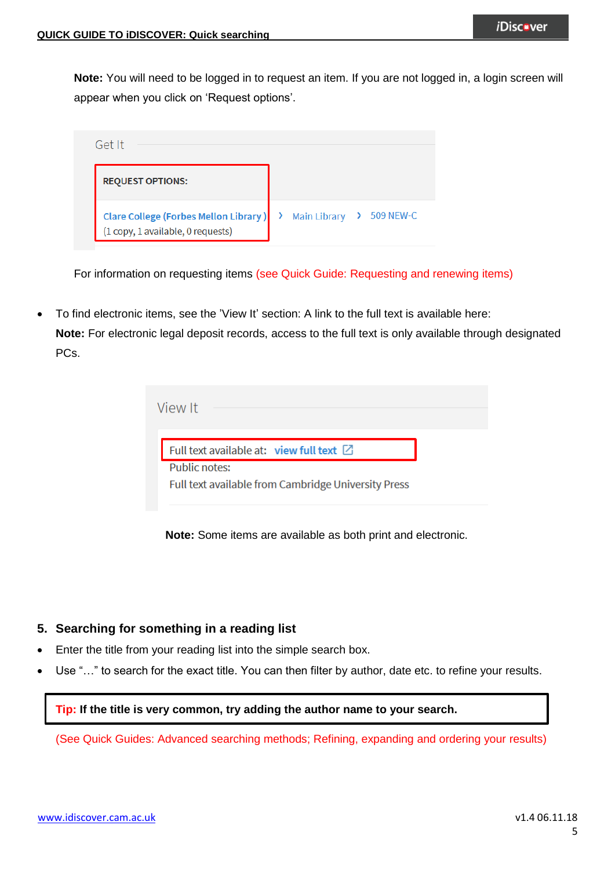**Note:** You will need to be logged in to request an item. If you are not logged in, a login screen will appear when you click on 'Request options'.

| Get It                                                                            |                                    |
|-----------------------------------------------------------------------------------|------------------------------------|
| <b>REQUEST OPTIONS:</b>                                                           |                                    |
| <b>Clare College (Forbes Mellon Library)</b><br>(1 copy, 1 available, 0 requests) | <b>Main Library</b><br>> 509 NEW-C |

For information on requesting items (see Quick Guide: Requesting and renewing items)

 To find electronic items, see the 'View It' section: A link to the full text is available here: **Note:** For electronic legal deposit records, access to the full text is only available through designated PCs.

| View It                                             |  |
|-----------------------------------------------------|--|
| Full text available at: view full text $\boxtimes$  |  |
| Public notes:                                       |  |
| Full text available from Cambridge University Press |  |

**Note:** Some items are available as both print and electronic.

### **5. Searching for something in a reading list**

- Enter the title from your reading list into the simple search box.
- Use "…" to search for the exact title. You can then filter by author, date etc. to refine your results.

#### **Tip: If the title is very common, try adding the author name to your search.**

(See Quick Guides: Advanced searching methods; Refining, expanding and ordering your results)